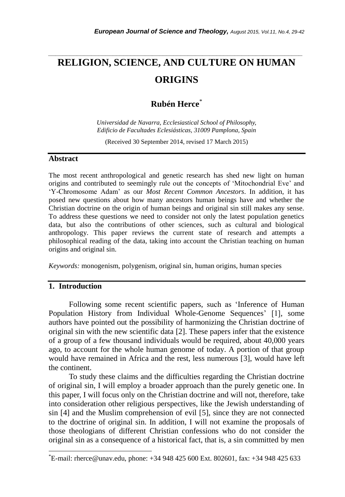# **RELIGION, SCIENCE, AND CULTURE ON HUMAN ORIGINS**

*\_\_\_\_\_\_\_\_\_\_\_\_\_\_\_\_\_\_\_\_\_\_\_\_\_\_\_\_\_\_\_\_\_\_\_\_\_\_\_\_\_\_\_\_\_\_\_\_\_\_\_\_\_\_\_\_\_\_\_\_\_\_\_\_\_\_\_\_\_\_\_*

# **Rubén Herce**\*

*Universidad de Navarra, Ecclesiastical School of Philosophy, Edificio de Facultades Eclesiásticas, 31009 Pamplona, Spain*

(Received 30 September 2014, revised 17 March 2015)

#### **Abstract**

The most recent anthropological and genetic research has shed new light on human origins and contributed to seemingly rule out the concepts of ‗Mitochondrial Eve' and ‗Y-Chromosome Adam' as our *Most Recent Common Ancestors*. In addition, it has posed new questions about how many ancestors human beings have and whether the Christian doctrine on the origin of human beings and original sin still makes any sense. To address these questions we need to consider not only the latest population genetics data, but also the contributions of other sciences, such as cultural and biological anthropology. This paper reviews the current state of research and attempts a philosophical reading of the data, taking into account the Christian teaching on human origins and original sin.

*Keywords:* monogenism, polygenism, original sin, human origins, human species

# **1. Introduction**

l

Following some recent scientific papers, such as 'Inference of Human Population History from Individual Whole-Genome Sequences' [1], some authors have pointed out the possibility of harmonizing the Christian doctrine of original sin with the new scientific data [2]. These papers infer that the existence of a group of a few thousand individuals would be required, about 40,000 years ago, to account for the whole human genome of today. A portion of that group would have remained in Africa and the rest, less numerous [3], would have left the continent.

To study these claims and the difficulties regarding the Christian doctrine of original sin, I will employ a broader approach than the purely genetic one. In this paper, I will focus only on the Christian doctrine and will not, therefore, take into consideration other religious perspectives, like the Jewish understanding of sin [4] and the Muslim comprehension of evil [5], since they are not connected to the doctrine of original sin. In addition, I will not examine the proposals of those theologians of different Christian confessions who do not consider the original sin as a consequence of a historical fact, that is, a sin committed by men

<sup>\*</sup>E-mail: rherce@unav.edu, phone: +34 948 425 600 Ext. 802601, fax: +34 948 425 633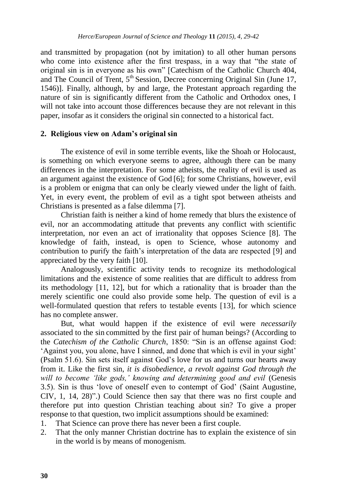and transmitted by propagation (not by imitation) to all other human persons who come into existence after the first trespass, in a way that "the state of original sin is in everyone as his own" [Catechism of the Catholic Church 404, and The Council of Trent,  $5<sup>th</sup>$  Session, Decree concerning Original Sin (June 17, 1546)]. Finally, although, by and large, the Protestant approach regarding the nature of sin is significantly different from the Catholic and Orthodox ones, I will not take into account those differences because they are not relevant in this paper, insofar as it considers the original sin connected to a historical fact.

#### **2. Religious view on Adam's original sin**

The existence of evil in some terrible events, like the Shoah or Holocaust, is something on which everyone seems to agree, although there can be many differences in the interpretation. For some atheists, the reality of evil is used as an argument against the existence of God [6]; for some Christians, however, evil is a problem or enigma that can only be clearly viewed under the light of faith. Yet, in every event, the problem of evil as a tight spot between atheists and Christians is presented as a false dilemma [7].

Christian faith is neither a kind of home remedy that blurs the existence of evil, nor an accommodating attitude that prevents any conflict with scientific interpretation, nor even an act of irrationality that opposes Science [8]. The knowledge of faith, instead, is open to Science, whose autonomy and contribution to purify the faith's interpretation of the data are respected [9] and appreciated by the very faith [10].

Analogously, scientific activity tends to recognize its methodological limitations and the existence of some realities that are difficult to address from its methodology [11, 12], but for which a rationality that is broader than the merely scientific one could also provide some help. The question of evil is a well-formulated question that refers to testable events [13], for which science has no complete answer.

But, what would happen if the existence of evil were *necessarily* associated to the sin committed by the first pair of human beings? (According to the *Catechism of the Catholic Church*, 1850: "Sin is an offense against God: ‗Against you, you alone, have I sinned, and done that which is evil in your sight' (Psalm 51.6). Sin sets itself against God's love for us and turns our hearts away from it. Like the first sin, *it is disobedience, a revolt against God through the will to become 'like gods,' knowing and determining good and evil* (Genesis 3.5). Sin is thus ‗love of oneself even to contempt of God' (Saint Augustine,  $CIV, 1, 14, 28)$ ".) Could Science then say that there was no first couple and therefore put into question Christian teaching about sin? To give a proper response to that question, two implicit assumptions should be examined:

- 1. That Science can prove there has never been a first couple.
- 2. That the only manner Christian doctrine has to explain the existence of sin in the world is by means of monogenism.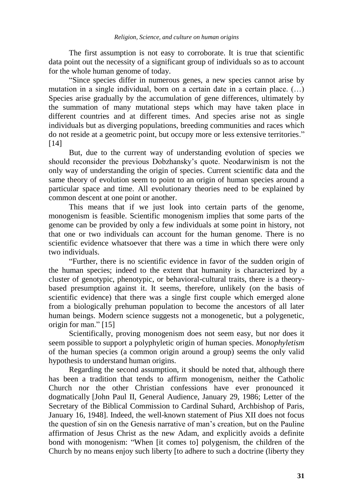The first assumption is not easy to corroborate. It is true that scientific data point out the necessity of a significant group of individuals so as to account for the whole human genome of today.

―Since species differ in numerous genes, a new species cannot arise by mutation in a single individual, born on a certain date in a certain place. (…) Species arise gradually by the accumulation of gene differences, ultimately by the summation of many mutational steps which may have taken place in different countries and at different times. And species arise not as single individuals but as diverging populations, breeding communities and races which do not reside at a geometric point, but occupy more or less extensive territories." [14]

But, due to the current way of understanding evolution of species we should reconsider the previous Dobzhansky's quote. Neodarwinism is not the only way of understanding the origin of species. Current scientific data and the same theory of evolution seem to point to an origin of human species around a particular space and time. All evolutionary theories need to be explained by common descent at one point or another.

This means that if we just look into certain parts of the genome, monogenism is feasible. Scientific monogenism implies that some parts of the genome can be provided by only a few individuals at some point in history, not that one or two individuals can account for the human genome. There is no scientific evidence whatsoever that there was a time in which there were only two individuals.

―Further, there is no scientific evidence in favor of the sudden origin of the human species; indeed to the extent that humanity is characterized by a cluster of genotypic, phenotypic, or behavioral-cultural traits, there is a theorybased presumption against it. It seems, therefore, unlikely (on the basis of scientific evidence) that there was a single first couple which emerged alone from a biologically prehuman population to become the ancestors of all later human beings. Modern science suggests not a monogenetic, but a polygenetic, origin for man." $[15]$ 

Scientifically, proving monogenism does not seem easy, but nor does it seem possible to support a polyphyletic origin of human species. *Monophyletism* of the human species (a common origin around a group) seems the only valid hypothesis to understand human origins.

Regarding the second assumption, it should be noted that, although there has been a tradition that tends to affirm monogenism, neither the Catholic Church nor the other Christian confessions have ever pronounced it dogmatically [John Paul II, General Audience, January 29, 1986; Letter of the Secretary of the Biblical Commission to Cardinal Suhard, Archbishop of Paris, January 16, 1948]. Indeed, the well-known statement of Pius XII does not focus the question of sin on the Genesis narrative of man's creation, but on the Pauline affirmation of Jesus Christ as the new Adam, and explicitly avoids a definite bond with monogenism: "When [it comes to] polygenism, the children of the Church by no means enjoy such liberty [to adhere to such a doctrine (liberty they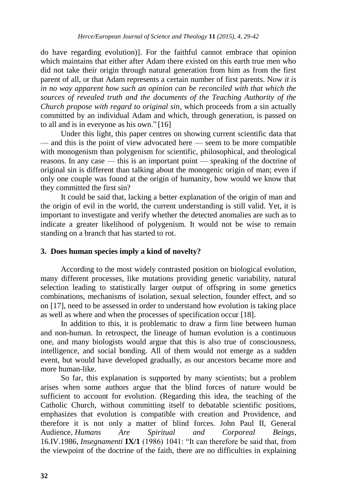do have regarding evolution)]. For the faithful cannot embrace that opinion which maintains that either after Adam there existed on this earth true men who did not take their origin through natural generation from him as from the first parent of all, or that Adam represents a certain number of first parents. Now *it is in no way apparent how such an opinion can be reconciled with that which the sources of revealed truth and the documents of the Teaching Authority of the Church propose with regard to original sin*, which proceeds from a sin actually committed by an individual Adam and which, through generation, is passed on to all and is in everyone as his own." $[16]$ 

Under this light, this paper centres on showing current scientific data that — and this is the point of view advocated here — seem to be more compatible with monogenism than polygenism for scientific, philosophical, and theological reasons. In any case — this is an important point — speaking of the doctrine of original sin is different than talking about the monogenic origin of man; even if only one couple was found at the origin of humanity, how would we know that they committed the first sin?

It could be said that, lacking a better explanation of the origin of man and the origin of evil in the world, the current understanding is still valid. Yet, it is important to investigate and verify whether the detected anomalies are such as to indicate a greater likelihood of polygenism. It would not be wise to remain standing on a branch that has started to rot.

#### **3. Does human species imply a kind of novelty?**

According to the most widely contrasted position on biological evolution, many different processes, like mutations providing genetic variability, natural selection leading to statistically larger output of offspring in some genetics combinations, mechanisms of isolation, sexual selection, founder effect, and so on [17], need to be assessed in order to understand how evolution is taking place as well as where and when the processes of specification occur [18].

In addition to this, it is problematic to draw a firm line between human and non-human. In retrospect, the lineage of human evolution is a continuous one, and many biologists would argue that this is also true of consciousness, intelligence, and social bonding. All of them would not emerge as a sudden event, but would have developed gradually, as our ancestors became more and more human-like.

So far, this explanation is supported by many scientists; but a problem arises when some authors argue that the blind forces of nature would be sufficient to account for evolution. (Regarding this idea, the teaching of the Catholic Church, without committing itself to debatable scientific positions, emphasizes that evolution is compatible with creation and Providence, and therefore it is not only a matter of blind forces. John Paul II, General Audience, *Humans Are Spiritual and Corporeal Beings*, 16.IV.1986, *Insegnamenti* **IX/1** (1986) 1041: "It can therefore be said that, from the viewpoint of the doctrine of the faith, there are no difficulties in explaining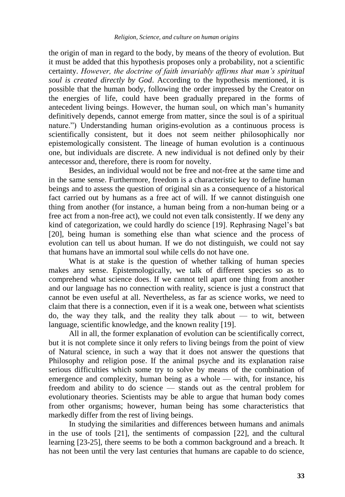the origin of man in regard to the body, by means of the theory of evolution. But it must be added that this hypothesis proposes only a probability, not a scientific certainty. *However, the doctrine of faith invariably affirms that man's spiritual soul is created directly by God*. According to the hypothesis mentioned, it is possible that the human body, following the order impressed by the Creator on the energies of life, could have been gradually prepared in the forms of antecedent living beings. However, the human soul, on which man's humanity definitively depends, cannot emerge from matter, since the soul is of a spiritual nature.") Understanding human origins-evolution as a continuous process is scientifically consistent, but it does not seem neither philosophically nor epistemologically consistent. The lineage of human evolution is a continuous one, but individuals are discrete. A new individual is not defined only by their antecessor and, therefore, there is room for novelty.

Besides, an individual would not be free and not-free at the same time and in the same sense. Furthermore, freedom is a characteristic key to define human beings and to assess the question of original sin as a consequence of a historical fact carried out by humans as a free act of will. If we cannot distinguish one thing from another (for instance, a human being from a non-human being or a free act from a non-free act), we could not even talk consistently. If we deny any kind of categorization, we could hardly do science [19]. Rephrasing Nagel's bat [20], being human is something else than what science and the process of evolution can tell us about human. If we do not distinguish, we could not say that humans have an immortal soul while cells do not have one.

What is at stake is the question of whether talking of human species makes any sense. Epistemologically, we talk of different species so as to comprehend what science does. If we cannot tell apart one thing from another and our language has no connection with reality, science is just a construct that cannot be even useful at all. Nevertheless, as far as science works, we need to claim that there is a connection, even if it is a weak one, between what scientists do, the way they talk, and the reality they talk about  $-$  to wit, between language, scientific knowledge, and the known reality [19].

All in all, the former explanation of evolution can be scientifically correct, but it is not complete since it only refers to living beings from the point of view of Natural science, in such a way that it does not answer the questions that Philosophy and religion pose. If the animal psyche and its explanation raise serious difficulties which some try to solve by means of the combination of emergence and complexity, human being as a whole — with, for instance, his freedom and ability to do science — stands out as the central problem for evolutionary theories. Scientists may be able to argue that human body comes from other organisms; however, human being has some characteristics that markedly differ from the rest of living beings.

In studying the similarities and differences between humans and animals in the use of tools [21], the sentiments of compassion [22], and the cultural learning [23-25], there seems to be both a common background and a breach. It has not been until the very last centuries that humans are capable to do science,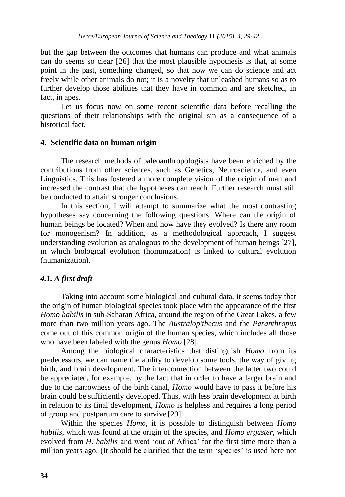but the gap between the outcomes that humans can produce and what animals can do seems so clear [26] that the most plausible hypothesis is that, at some point in the past, something changed, so that now we can do science and act freely while other animals do not; it is a novelty that unleashed humans so as to further develop those abilities that they have in common and are sketched, in fact, in apes.

Let us focus now on some recent scientific data before recalling the questions of their relationships with the original sin as a consequence of a historical fact.

#### **4. Scientific data on human origin**

The research methods of paleoanthropologists have been enriched by the contributions from other sciences, such as Genetics, Neuroscience, and even Linguistics. This has fostered a more complete vision of the origin of man and increased the contrast that the hypotheses can reach. Further research must still be conducted to attain stronger conclusions.

In this section, I will attempt to summarize what the most contrasting hypotheses say concerning the following questions: Where can the origin of human beings be located? When and how have they evolved? Is there any room for monogenism? In addition, as a methodological approach, I suggest understanding evolution as analogous to the development of human beings [27], in which biological evolution (hominization) is linked to cultural evolution (humanization).

### *4.1. A first draft*

Taking into account some biological and cultural data, it seems today that the origin of human biological species took place with the appearance of the first *Homo habilis* in sub-Saharan Africa, around the region of the Great Lakes, a few more than two million years ago. The *Australopithecus* and the *Paranthropus* come out of this common origin of the human species, which includes all those who have been labeled with the genus *Homo* [28].

Among the biological characteristics that distinguish *Homo* from its predecessors, we can name the ability to develop some tools, the way of giving birth, and brain development. The interconnection between the latter two could be appreciated, for example, by the fact that in order to have a larger brain and due to the narrowness of the birth canal, *Homo* would have to pass it before his brain could be sufficiently developed. Thus, with less brain development at birth in relation to its final development, *Homo* is helpless and requires a long period of group and postpartum care to survive [29].

Within the species *Homo*, it is possible to distinguish between *Homo habilis*, which was found at the origin of the species, and *Homo ergaster*, which evolved from *H. habilis* and went 'out of Africa' for the first time more than a million years ago. (It should be clarified that the term 'species' is used here not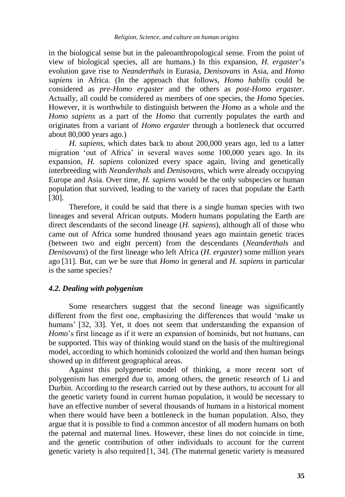in the biological sense but in the paleoanthropological sense. From the point of view of biological species, all are humans.) In this expansion, *H. ergaster*'s evolution gave rise to *Neanderthals* in Eurasia, *Denisovans* in Asia, and *Homo sapiens* in Africa. (In the approach that follows, *Homo habilis* could be considered as *pre-Homo ergaster* and the others as *post-Homo ergaster*. Actually, all could be considered as members of one species, the *Homo* Species. However, it is worthwhile to distinguish between the *Homo* as a whole and the *Homo sapiens* as a part of the *Homo* that currently populates the earth and originates from a variant of *Homo ergaster* through a bottleneck that occurred about 80,000 years ago.)

*H. sapiens*, which dates back to about 200,000 years ago, led to a latter migration 'out of Africa' in several waves some 100,000 years ago. In its expansion, *H. sapiens* colonized every space again, living and genetically interbreeding with *Neanderthals* and *Denisovans*, which were already occupying Europe and Asia. Over time, *H. sapiens* would be the only subspecies or human population that survived, leading to the variety of races that populate the Earth [30].

Therefore, it could be said that there is a single human species with two lineages and several African outputs. Modern humans populating the Earth are direct descendants of the second lineage (*H. sapiens*), although all of those who came out of Africa some hundred thousand years ago maintain genetic traces (between two and eight percent) from the descendants (*Neanderthals* and *Denisovans*) of the first lineage who left Africa (*H. ergaster*) some million years ago [31]. But, can we be sure that *Homo* in general and *H. sapiens* in particular is the same species?

#### *4.2. Dealing with polygenism*

Some researchers suggest that the second lineage was significantly different from the first one, emphasizing the differences that would 'make us humans' [32, 33]. Yet, it does not seem that understanding the expansion of *Homo*'s first lineage as if it were an expansion of hominids, but not humans, can be supported. This way of thinking would stand on the basis of the multiregional model, according to which hominids colonized the world and then human beings showed up in different geographical areas.

Against this polygenetic model of thinking, a more recent sort of polygenism has emerged due to, among others, the genetic research of Li and Durbin. According to the research carried out by these authors, to account for all the genetic variety found in current human population, it would be necessary to have an effective number of several thousands of humans in a historical moment when there would have been a bottleneck in the human population. Also, they argue that it is possible to find a common ancestor of all modern humans on both the paternal and maternal lines. However, these lines do not coincide in time, and the genetic contribution of other individuals to account for the current genetic variety is also required [1, 34]. (The maternal genetic variety is measured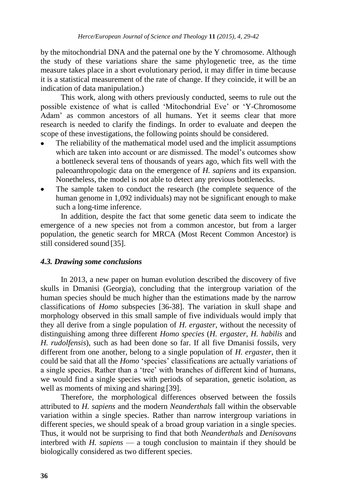by the mitochondrial DNA and the paternal one by the Y chromosome. Although the study of these variations share the same phylogenetic tree, as the time measure takes place in a short evolutionary period, it may differ in time because it is a statistical measurement of the rate of change. If they coincide, it will be an indication of data manipulation.)

This work, along with others previously conducted, seems to rule out the possible existence of what is called 'Mitochondrial Eve' or 'Y-Chromosome Adam' as common ancestors of all humans. Yet it seems clear that more research is needed to clarify the findings. In order to evaluate and deepen the scope of these investigations, the following points should be considered.

- The reliability of the mathematical model used and the implicit assumptions which are taken into account or are dismissed. The model's outcomes show a bottleneck several tens of thousands of years ago, which fits well with the paleoanthropologic data on the emergence of *H. sapiens* and its expansion. Nonetheless, the model is not able to detect any previous bottlenecks.
- The sample taken to conduct the research (the complete sequence of the human genome in 1,092 individuals) may not be significant enough to make such a long-time inference.

In addition, despite the fact that some genetic data seem to indicate the emergence of a new species not from a common ancestor, but from a larger population, the genetic search for MRCA (Most Recent Common Ancestor) is still considered sound [35].

# *4.3. Drawing some conclusions*

In 2013, a new paper on human evolution described the discovery of five skulls in Dmanisi (Georgia), concluding that the intergroup variation of the human species should be much higher than the estimations made by the narrow classifications of *Homo* subspecies [36-38]. The variation in skull shape and morphology observed in this small sample of five individuals would imply that they all derive from a single population of *H. ergaster*, without the necessity of distinguishing among three different *Homo species* (*H. ergaster*, *H. habilis* and *H. rudolfensis*), such as had been done so far. If all five Dmanisi fossils, very different from one another, belong to a single population of *H. ergaster*, then it could be said that all the *Homo* 'species' classifications are actually variations of a single species. Rather than a 'tree' with branches of different kind of humans, we would find a single species with periods of separation, genetic isolation, as well as moments of mixing and sharing [39].

Therefore, the morphological differences observed between the fossils attributed to *H. sapiens* and the modern *Neanderthals* fall within the observable variation within a single species. Rather than narrow intergroup variations in different species, we should speak of a broad group variation in a single species. Thus, it would not be surprising to find that both *Neanderthals* and *Denisovans* interbred with *H. sapiens* — a tough conclusion to maintain if they should be biologically considered as two different species.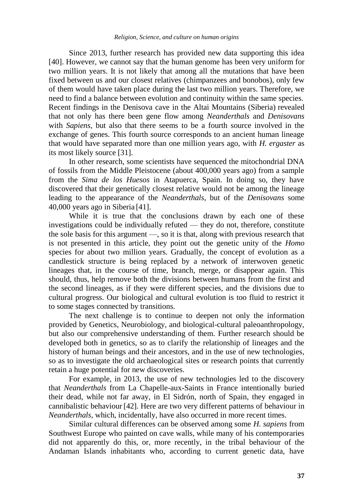Since 2013, further research has provided new data supporting this idea [40]. However, we cannot say that the human genome has been very uniform for two million years. It is not likely that among all the mutations that have been fixed between us and our closest relatives (chimpanzees and bonobos), only few of them would have taken place during the last two million years. Therefore, we need to find a balance between evolution and continuity within the same species. Recent findings in the Denisova cave in the Altai Mountains (Siberia) revealed that not only has there been gene flow among *Neanderthals* and *Denisovans* with *Sapiens*, but also that there seems to be a fourth source involved in the exchange of genes. This fourth source corresponds to an ancient human lineage that would have separated more than one million years ago, with *H. ergaster* as its most likely source [31].

In other research, some scientists have sequenced the mitochondrial DNA of fossils from the Middle Pleistocene (about 400,000 years ago) from a sample from the *Sima de los Huesos* in Atapuerca, Spain. In doing so, they have discovered that their genetically closest relative would not be among the lineage leading to the appearance of the *Neanderthals*, but of the *Denisovans* some 40,000 years ago in Siberia [41].

While it is true that the conclusions drawn by each one of these investigations could be individually refuted — they do not, therefore, constitute the sole basis for this argument —, so it is that, along with previous research that is not presented in this article, they point out the genetic unity of the *Homo* species for about two million years. Gradually, the concept of evolution as a candlestick structure is being replaced by a network of interwoven genetic lineages that, in the course of time, branch, merge, or disappear again. This should, thus, help remove both the divisions between humans from the first and the second lineages, as if they were different species, and the divisions due to cultural progress. Our biological and cultural evolution is too fluid to restrict it to some stages connected by transitions.

The next challenge is to continue to deepen not only the information provided by Genetics, Neurobiology, and biological-cultural paleoanthropology, but also our comprehensive understanding of them. Further research should be developed both in genetics, so as to clarify the relationship of lineages and the history of human beings and their ancestors, and in the use of new technologies, so as to investigate the old archaeological sites or research points that currently retain a huge potential for new discoveries.

For example, in 2013, the use of new technologies led to the discovery that *Neanderthals* from La Chapelle-aux-Saints in France intentionally buried their dead, while not far away, in El Sidrón, north of Spain, they engaged in cannibalistic behaviour [42]. Here are two very different patterns of behaviour in *Neanderthals*, which, incidentally, have also occurred in more recent times.

Similar cultural differences can be observed among some *H. sapiens* from Southwest Europe who painted on cave walls, while many of his contemporaries did not apparently do this, or, more recently, in the tribal behaviour of the Andaman Islands inhabitants who, according to current genetic data, have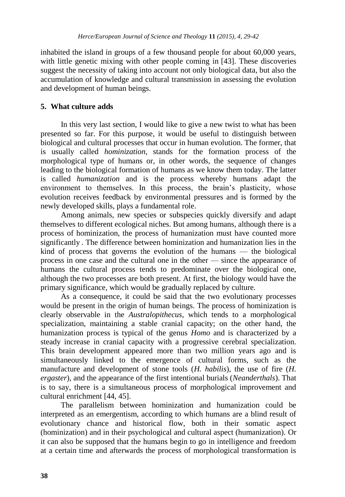inhabited the island in groups of a few thousand people for about 60,000 years, with little genetic mixing with other people coming in [43]. These discoveries suggest the necessity of taking into account not only biological data, but also the accumulation of knowledge and cultural transmission in assessing the evolution and development of human beings.

# **5. What culture adds**

In this very last section, I would like to give a new twist to what has been presented so far. For this purpose, it would be useful to distinguish between biological and cultural processes that occur in human evolution. The former, that is usually called *hominization*, stands for the formation process of the morphological type of humans or, in other words, the sequence of changes leading to the biological formation of humans as we know them today. The latter is called *humanization* and is the process whereby humans adapt the environment to themselves. In this process, the brain's plasticity, whose evolution receives feedback by environmental pressures and is formed by the newly developed skills, plays a fundamental role.

Among animals, new species or subspecies quickly diversify and adapt themselves to different ecological niches. But among humans, although there is a process of hominization, the process of humanization must have counted more significantly . The difference between hominization and humanization lies in the kind of process that governs the evolution of the humans — the biological process in one case and the cultural one in the other — since the appearance of humans the cultural process tends to predominate over the biological one, although the two processes are both present. At first, the biology would have the primary significance, which would be gradually replaced by culture.

As a consequence, it could be said that the two evolutionary processes would be present in the origin of human beings. The process of hominization is clearly observable in the *Australopithecus*, which tends to a morphological specialization, maintaining a stable cranial capacity; on the other hand, the humanization process is typical of the genus *Homo* and is characterized by a steady increase in cranial capacity with a progressive cerebral specialization. This brain development appeared more than two million years ago and is simultaneously linked to the emergence of cultural forms, such as the manufacture and development of stone tools (*H. habilis*), the use of fire (*H. ergaster*), and the appearance of the first intentional burials (*Neanderthals*). That is to say, there is a simultaneous process of morphological improvement and cultural enrichment [44, 45].

The parallelism between hominization and humanization could be interpreted as an emergentism, according to which humans are a blind result of evolutionary chance and historical flow, both in their somatic aspect (hominization) and in their psychological and cultural aspect (humanization). Or it can also be supposed that the humans begin to go in intelligence and freedom at a certain time and afterwards the process of morphological transformation is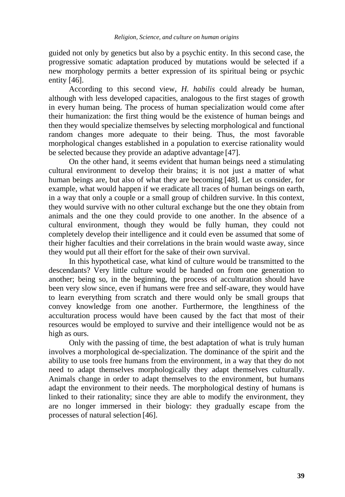guided not only by genetics but also by a psychic entity. In this second case, the progressive somatic adaptation produced by mutations would be selected if a new morphology permits a better expression of its spiritual being or psychic entity [46].

According to this second view, *H. habilis* could already be human, although with less developed capacities, analogous to the first stages of growth in every human being. The process of human specialization would come after their humanization: the first thing would be the existence of human beings and then they would specialize themselves by selecting morphological and functional random changes more adequate to their being. Thus, the most favorable morphological changes established in a population to exercise rationality would be selected because they provide an adaptive advantage [47].

On the other hand, it seems evident that human beings need a stimulating cultural environment to develop their brains; it is not just a matter of what human beings are, but also of what they are becoming [48]. Let us consider, for example, what would happen if we eradicate all traces of human beings on earth, in a way that only a couple or a small group of children survive. In this context, they would survive with no other cultural exchange but the one they obtain from animals and the one they could provide to one another. In the absence of a cultural environment, though they would be fully human, they could not completely develop their intelligence and it could even be assumed that some of their higher faculties and their correlations in the brain would waste away, since they would put all their effort for the sake of their own survival.

In this hypothetical case, what kind of culture would be transmitted to the descendants? Very little culture would be handed on from one generation to another; being so, in the beginning, the process of acculturation should have been very slow since, even if humans were free and self-aware, they would have to learn everything from scratch and there would only be small groups that convey knowledge from one another. Furthermore, the lengthiness of the acculturation process would have been caused by the fact that most of their resources would be employed to survive and their intelligence would not be as high as ours.

Only with the passing of time, the best adaptation of what is truly human involves a morphological de-specialization. The dominance of the spirit and the ability to use tools free humans from the environment, in a way that they do not need to adapt themselves morphologically they adapt themselves culturally. Animals change in order to adapt themselves to the environment, but humans adapt the environment to their needs. The morphological destiny of humans is linked to their rationality; since they are able to modify the environment, they are no longer immersed in their biology: they gradually escape from the processes of natural selection [46].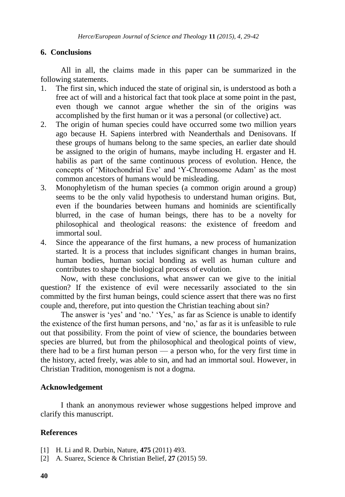# **6. Conclusions**

All in all, the claims made in this paper can be summarized in the following statements.

- 1. The first sin, which induced the state of original sin, is understood as both a free act of will and a historical fact that took place at some point in the past, even though we cannot argue whether the sin of the origins was accomplished by the first human or it was a personal (or collective) act.
- 2. The origin of human species could have occurred some two million years ago because H. Sapiens interbred with Neanderthals and Denisovans. If these groups of humans belong to the same species, an earlier date should be assigned to the origin of humans, maybe including H. ergaster and H. habilis as part of the same continuous process of evolution. Hence, the concepts of ‗Mitochondrial Eve' and ‗Y-Chromosome Adam' as the most common ancestors of humans would be misleading.
- 3. Monophyletism of the human species (a common origin around a group) seems to be the only valid hypothesis to understand human origins. But, even if the boundaries between humans and hominids are scientifically blurred, in the case of human beings, there has to be a novelty for philosophical and theological reasons: the existence of freedom and immortal soul.
- 4. Since the appearance of the first humans, a new process of humanization started. It is a process that includes significant changes in human brains, human bodies, human social bonding as well as human culture and contributes to shape the biological process of evolution.

Now, with these conclusions, what answer can we give to the initial question? If the existence of evil were necessarily associated to the sin committed by the first human beings, could science assert that there was no first couple and, therefore, put into question the Christian teaching about sin?

The answer is 'yes' and 'no.' 'Yes,' as far as Science is unable to identify the existence of the first human persons, and 'no,' as far as it is unfeasible to rule out that possibility. From the point of view of science, the boundaries between species are blurred, but from the philosophical and theological points of view, there had to be a first human person — a person who, for the very first time in the history, acted freely, was able to sin, and had an immortal soul. However, in Christian Tradition, monogenism is not a dogma.

#### **Acknowledgement**

I thank an anonymous reviewer whose suggestions helped improve and clarify this manuscript.

# **References**

- [1] H. Li and R. Durbin, Nature, **475** (2011) 493.
- [2] A. Suarez, Science & Christian Belief, **27** (2015) 59.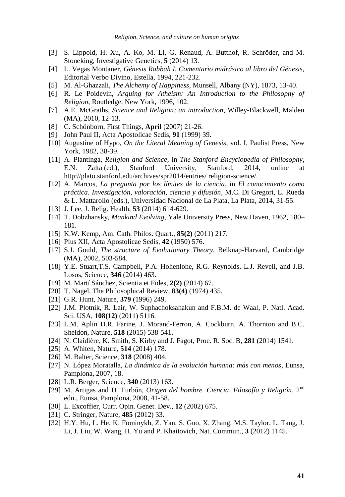- [3] S. Lippold, H. Xu, A. Ko, M. Li, G. Renaud, A. Butthof, R. Schröder, and M. Stoneking, Investigative Genetics, **5** (2014) 13.
- [4] L. Vegas Montaner, *Génesis Rabbah I. Comentario midrásico al libro del Génesis*, Editorial Verbo Divino, Estella, 1994, 221-232.
- [5] M. Al-Ghazzali, *The Alchemy of Happiness*, Munsell, Albany (NY), 1873, 13-40.
- [6] R. Le Poidevin, *Arguing for Atheism: An Introduction to the Philosophy of Religion*, Routledge, New York, 1996, 102.
- [7] A.E. McGraths, *Science and Religion: an introduction*, Willey-Blackwell, Malden (MA), 2010, 12-13.
- [8] C. Schönborn, First Things, **April** (2007) 21-26.
- [9] John Paul II, Acta Apostolicae Sedis, **91** (1999) 39.
- [10] Augustine of Hypo, *On the Literal Meaning of Genesis*, vol. I, Paulist Press, New York, 1982, 38-39.
- [11] A. Plantinga, *Religion and Science*, in *The Stanford Encyclopedia of Philosophy*, E.N. Zalta (ed.), Stanford University, Stanford, 2014, online at http://plato.stanford.edu/archives/spr2014/entries/ religion-science/.
- [12] A. Marcos, *La pregunta por los límites de la ciencia*, in *El conocimiento como práctica. Investigación, valoración, ciencia y difusión*, M.C. Di Gregori, L. Rueda & L. Mattarollo (eds.), Universidad Nacional de La Plata, La Plata, 2014, 31-55.
- [13] J. Lee, J. Relig. Health, **53** (2014) 614-629.
- [14] T. Dobzhansky, *Mankind Evolving*, Yale University Press, New Haven, 1962, 180– 181.
- [15] K.W. Kemp, Am. Cath. Philos. Quart., **85(2)** (2011) 217.
- [16] Pius XII, Acta Apostolicae Sedis, **42** (1950) 576.
- [17] S.J. Gould, *The structure of Evolutionary Theory*, Belknap-Harvard, Cambridge (MA), 2002, 503-584.
- [18] Y.E. Stuart,T.S. Campbell, P.A. Hohenlohe, R.G. Reynolds, L.J. Revell, and J.B. Losos, Science, **346** (2014) 463.
- [19] M. Martí Sánchez, Scientia et Fides, **2(2)** (2014) 67.
- [20] T. Nagel, The Philosophical Review, **83(4)** (1974) 435.
- [21] G.R. Hunt, Nature, **379** (1996) 249.
- [22] J.M. Plotnik, R. Lair, W. Suphachoksahakun and F.B.M. de Waal, P. Natl. Acad. Sci. USA, **108(12)** (2011) 5116.
- [23] L.M. Aplin D.R. Farine, J. Morand-Ferron, A. Cockburn, A. Thornton and B.C. Sheldon, Nature, **518** (2015) 538-541.
- [24] N. Claidière, K. Smith, S. Kirby and J. Fagot, Proc. R. Soc. B, **281** (2014) 1541.
- [25] A. Whiten, Nature, **514** (2014) 178.
- [26] M. Balter, Science, **318** (2008) 404.
- [27] N. López Moratalla, *La dinámica de la evolución humana: más con menos*, Eunsa, Pamplona, 2007, 18.
- [28] L.R. Berger, Science, **340** (2013) 163.
- [29] M. Artigas and D. Turbón, *Origen del hombre. Ciencia, Filosofía y Religión*, 2nd edn., Eunsa, Pamplona, 2008, 41-58.
- [30] L. Excoffier, Curr. Opin. Genet. Dev., **12** (2002) 675.
- [31] C. Stringer, Nature, **485** (2012) 33.
- [32] H.Y. Hu, L. He, K. Fominykh, Z. Yan, S. Guo, X. Zhang, M.S. Taylor, L. Tang, J. Li, J. Liu, W. Wang, H. Yu and P. Khaitovich, Nat. Commun., **3** (2012) 1145.